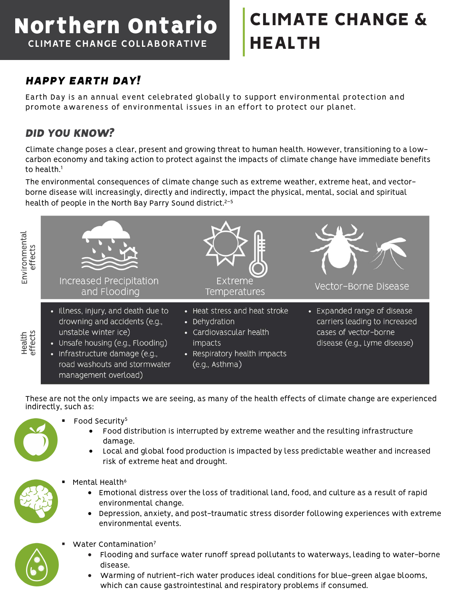## Northern Ontario **CLIMATE CHANGE COLLABORATIVE**

# CLIMATE CHANGE & HEALTH

## *HAPPY EARTH DAY!*

Earth Day is an annual event celebrated globally to support environmental protection and promote awareness of environmental issues in an effort to protect our planet.

#### *DID YOU KNOW?*

Climate change poses a clear, present and growing threat to human health. However, transitioning to a lowcarbon economy and taking action to protect against the impacts of climate change have immediate benefits to health.<sup>1</sup>

The environmental consequences of climate change such as extreme weather, extreme heat, and vectorborne disease will increasingly, directly and indirectly, impact the physical, mental, social and spiritual health of people in the North Bay Parry Sound district. 2–5



These are not the only impacts we are seeing, as many of the health effects of climate change are experienced indirectly, such as:

- Food Security<sup>5</sup>
	- Food distribution is interrupted by extreme weather and the resulting infrastructure damage.
	- Local and global food production is impacted by less predictable weather and increased risk of extreme heat and drought.
- Mental Health<sup>6</sup>
	- Emotional distress over the loss of traditional land, food, and culture as a result of rapid environmental change.
	- Depression, anxiety, and post-traumatic stress disorder following experiences with extreme environmental events.



- Water Contamination<sup>7</sup>
	- Flooding and surface water runoff spread pollutants to waterways, leading to water-borne disease.
	- Warming of nutrient-rich water produces ideal conditions for blue-green algae blooms, which can cause gastrointestinal and respiratory problems if consumed.